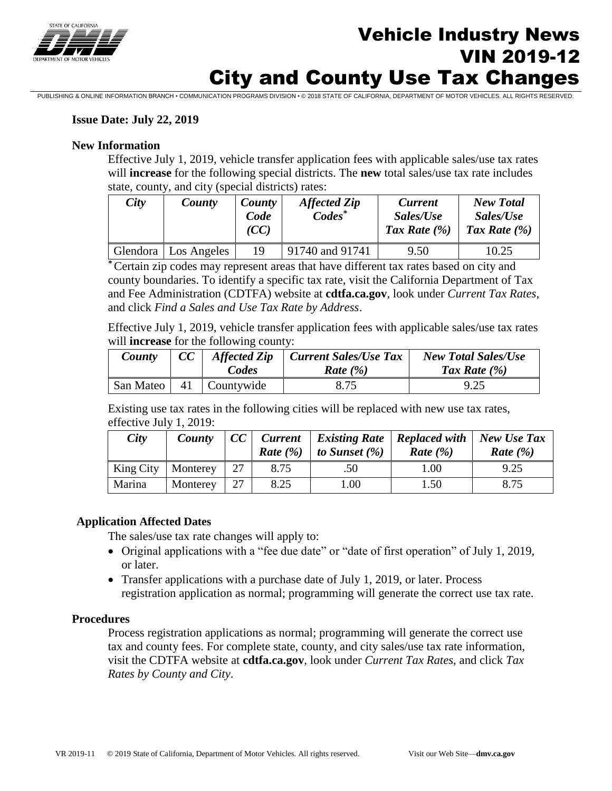

# Vehicle Industry News VIN 2019-12 City and County Use Tax Changes

PUBLISHING & ONLINE INFORMATION BRANCH • COMMUNICATION PROGRAMS DIVISION • © 2018 STATE OF CALIFORNIA, DEPARTMENT OF MOTOR VEHICLES. ALL RIGHTS RESERVED.

### **Issue Date: July 22, 2019**

### **New Information**

will **increase** for the following special districts. The **new** total sales/use tax rate includes Effective July 1, 2019, vehicle transfer application fees with applicable sales/use tax rates will **increase** for the following special districts. The **new** total sales/use tax rate includes state, county, and city (special districts) rates:

| City | County                 | County<br>Code<br>(CC) | <b>Affected Zip</b><br>$\mathbf{Codes}^*$ | <b>Current</b><br>Sales/Use<br>Tax Rate $(\% )$ | <b>New Total</b><br>Sales/Use<br>Tax Rate $(\% )$ |
|------|------------------------|------------------------|-------------------------------------------|-------------------------------------------------|---------------------------------------------------|
|      | Glendora   Los Angeles | 19                     | 91740 and 91741                           | 9.50                                            | 10.25                                             |

*\** Certain zip codes may represent areas that have different tax rates based on city and county boundaries. To identify a specific tax rate, visit the California Department of Tax and Fee Administration (CDTFA) website at **[cdtfa.ca.gov](https://cdtfa.ca.gov)**, look under *Current Tax Rates*, and click *Find a Sales and Use Tax Rate by Address*.

Effective July 1, 2019, vehicle transfer application fees with applicable sales/use tax rates will **increase** for the following county:

| County    | CC | <b>Affected Zip</b><br>Codes | <b>Current Sales/Use Tax</b><br>Rate $(\% )$ | <b>New Total Sales/Use</b><br>Tax Rate $(\% )$ |
|-----------|----|------------------------------|----------------------------------------------|------------------------------------------------|
| San Mateo |    | 41   Countywide              | 8.75                                         | 9.25                                           |

Existing use tax rates in the following cities will be replaced with new use tax rates, effective July 1, 2019:

| City   | County                    | CC |      | Current   Existing Rate   Replaced with   New Use Tax<br><b>Rate</b> $(\%)$ to Sunset $(\%)$ | Rate $(\% )$ | Rate $(\% )$ |
|--------|---------------------------|----|------|----------------------------------------------------------------------------------------------|--------------|--------------|
|        | King City   Monterey   27 |    | 8.75 | .50                                                                                          | 1.00         | 9.25         |
| Marina | Monterey                  | 27 | 8.25 | 00.1                                                                                         | 1.50         | 8.75         |

### **Application Affected Dates**

The sales/use tax rate changes will apply to:

- Original applications with a "fee due date" or "date of first operation" of July 1, 2019, or later.
- registration application as normal; programming will generate the correct use tax rate. • Transfer applications with a purchase date of July 1, 2019, or later. Process

### **Procedures**

Process registration applications as normal; programming will generate the correct use tax and county fees. For complete state, county, and city sales/use tax rate information, visit the CDTFA website at **[cdtfa.ca.gov](https://cdtfa.ca.gov)**, look under *Current Tax Rates*, and click *Tax Rates by County and City*.